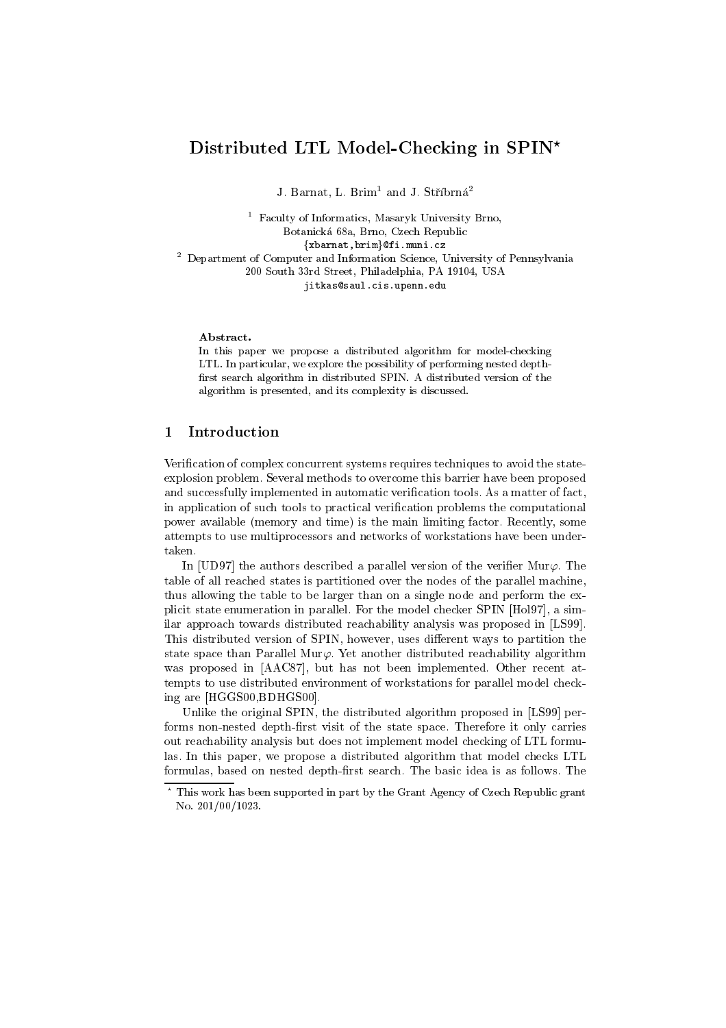# Distributed LTL Model-Checking in SPIN?

J. Barnat, L. Brim<sup>1</sup> and J. Stříbrná<sup>2</sup>

<sup>1</sup> Faculty of Informatics, Masaryk University Brno, Botanicka 68a, Brno, Czech Republic  $\{x\texttt{barnat},\texttt{brim}\}$ @fi.muni.cz <sup>2</sup> Department of Computer and Information Science, University of Pennsylvania 200 South 33rd Street, Philadelphia, PA 19104, USA jitkas@saul.cis.upenn.edu

#### Abstract.

In this paper we propose a distributed algorithm for model-checking LTL. In particular, we explore the possibility of performing nested depth first search algorithm in distributed SPIN. A distributed version of the algorithm is presented, and its complexity is discussed.

#### $\mathbf{1}$ **Introduction**

Verification of complex concurrent systems requires techniques to avoid the stateexplosion problem. Several methods to overcome this barrier have been proposed and successfully implemented in automatic verification tools. As a matter of fact, in application of such tools to practical verification problems the computational power available (memory and time) is the main limiting factor. Recently, some attempts to use multiprocessors and networks of workstations have been undertaken.

In [UD97] the authors described a parallel version of the verifier Mur $\varphi$ . The table of all reached states is partitioned over the nodes of the parallel machine, thus allowing the table to be larger than on a single node and perform the explicit state enumeration in parallel. For the model checker SPIN [Hol97], a similar approach towards distributed reachability analysis was proposed in [LS99]. This distributed version of SPIN, however, uses different ways to partition the state space than Parallel Mur $\varphi$ . Yet another distributed reachability algorithm was proposed in [AAC87], but has not been implemented. Other recent attempts to use distributed environment of workstations for parallel model checking are [HGGS00,BDHGS00].

Unlike the original SPIN, the distributed algorithm proposed in [LS99] performs non-nested depth-first visit of the state space. Therefore it only carries out reachability analysis but does not implement model checking of LTL formulas. In this paper, we propose a distributed algorithm that model checks LTL formulas, based on nested depth-first search. The basic idea is as follows. The

<sup>?</sup> This work has been supported in part by the Grant Agency of Czech Republic grant No. 201/00/1023.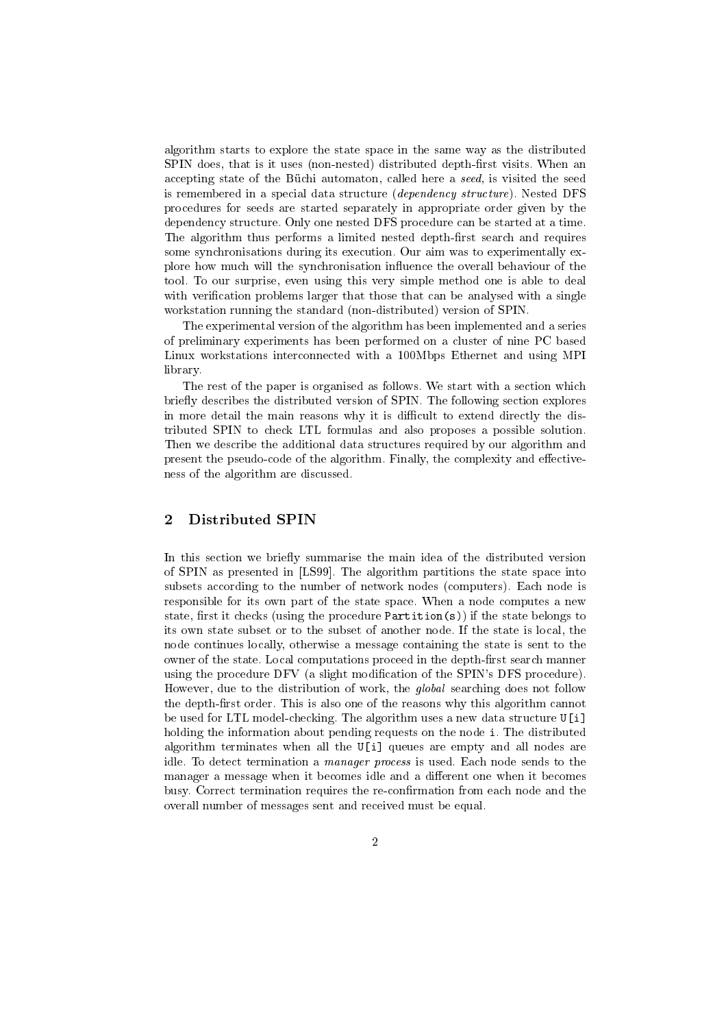algorithm starts to explore the state space in the same way as the distributed SPIN does, that is it uses (non-nested) distributed depth-first visits. When an accepting state of the Büchi automaton, called here a seed, is visited the seed is remembered in a special data structure (dependency structure). Nested DFS procedures for seeds are started separately in appropriate order given by the dependency structure. Only one nested DFS procedure can be started at a time. The algorithm thus performs a limited nested depth-first search and requires some synchronisations during its execution. Our aim was to experimentally explore how much will the synchronisation in
uence the overall behaviour of the tool. To our surprise, even using this very simple method one is able to deal with verification problems larger that those that can be analysed with a single workstation running the standard (non-distributed) version of SPIN.

The experimental version of the algorithm has been implemented and a series of preliminary experiments has been performed on a cluster of nine PC based Linux workstations interconnected with a 100Mbps Ethernet and using MPI library.

The rest of the paper is organised as follows. We start with a section which briefly describes the distributed version of SPIN. The following section explores in more detail the main reasons why it is difficult to extend directly the distributed SPIN to check LTL formulas and also proposes a possible solution. Then we describe the additional data structures required by our algorithm and present the pseudo-code of the algorithm. Finally, the complexity and effectiveness of the algorithm are discussed.

# 2 Distributed SPIN

In this section we briefly summarise the main idea of the distributed version of SPIN as presented in [LS99]. The algorithm partitions the state space into subsets according to the number of network nodes (computers). Each node is responsible for its own part of the state space. When a node computes a new state, first it checks (using the procedure  $Partition(s)$ ) if the state belongs to its own state subset or to the subset of another node. If the state is local, the node continues locally, otherwise a message containing the state is sent to the owner of the state. Local computations proceed in the depth-first search manner using the procedure DFV (a slight modication of the SPIN's DFS procedure). However, due to the distribution of work, the global searching does not follow the depth-first order. This is also one of the reasons why this algorithm cannot be used for LTL model-checking. The algorithm uses a new data structure U[i] holding the information about pending requests on the node i. The distributed algorithm terminates when all the U[i] queues are empty and all nodes are idle. To detect termination a manager process is used. Each node sends to the manager a message when it becomes idle and a different one when it becomes busy. Correct termination requires the re-confirmation from each node and the overall number of messages sent and received must be equal.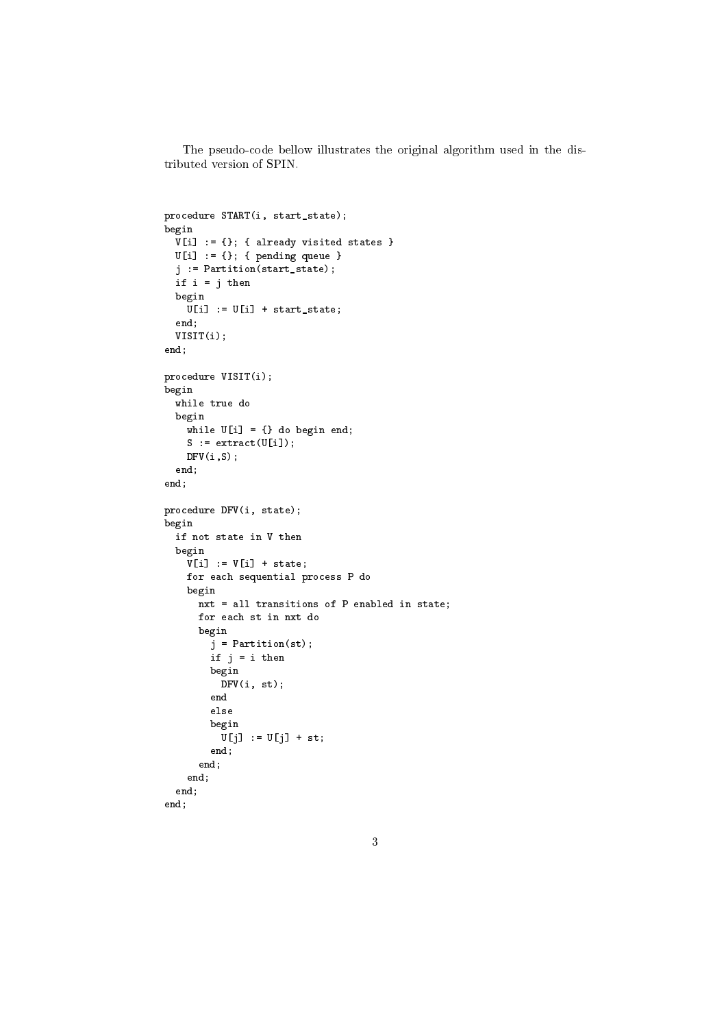The pseudo-code bellow illustrates the original algorithm used in the distributed version of SPIN.

```
procedure START(i, start_state);
begin
  V[i] := \{\}; { already visited states }
  U[i] := \{\}; { pending queue }
  j := Partition(start_state);
  if i = j then
  begin
    U[i] := U[i] + start\_state;end;
  VISIT(i);
end;
procedure VISIT(i);
begin
  while true do
  begin
   while U[i] = \{\} do begin end;
    S := extract (U[i]);
    DFV(i,S);
  end;
end;
procedure DFV(i, state);
begin
  if not state in V then
  begin
    V[i] := V[i] + state;for each sequential process P do
    begin
      nxt = all transitions of P enabled in state;
      for each st in nxt do
      begin
        j = Partition(st);
        if j = i then
        begin
          DFV(i, st);
        end
        else
        begin
          U[j] := U[j] + st;
        end;
      end;
    end;
  end;
end;
```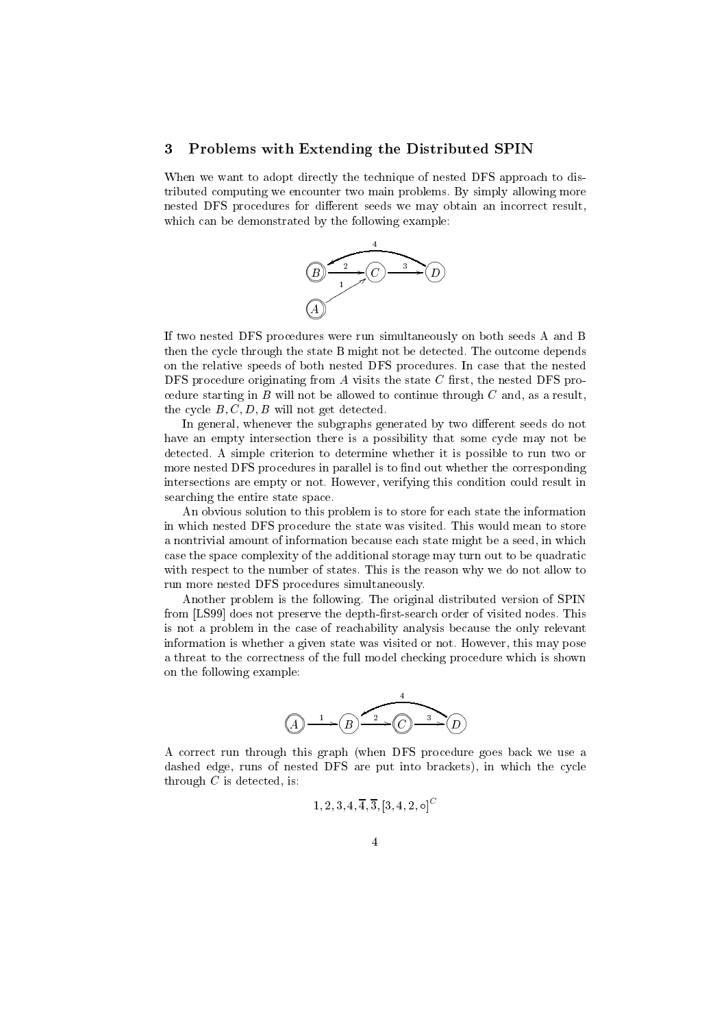# 3 Problems with Extending the Distributed SPIN

When we want to adopt directly the technique of nested DFS approach to distributed computing we encounter two main problems. By simply allowing more nested DFS procedures for different seeds we may obtain an incorrect result, which can be demonstrated by the following example:



If two nested DFS procedures were run simultaneously on both seeds A and B then the cycle through the state B might not be detected. The outcome depends on the relative speeds of both nested DFS procedures. In case that the nested DFS procedure originating from  $A$  visits the state  $C$  first, the nested DFS procedure starting in  $B$  will not be allowed to continue through  $C$  and, as a result, the cycle  $B, C, D, B$  will not get detected.

In general, whenever the subgraphs generated by two different seeds do not have an empty intersection there is a possibility that some cycle may not be detected. A simple criterion to determine whether it is possible to run two or more nested DFS procedures in parallel is to find out whether the corresponding intersections are empty or not. However, verifying this condition could result in searching the entire state space.

An obvious solution to this problem is to store for each state the information in which nested DFS procedure the state was visited. This would mean to store a nontrivial amount of information because each state might be a seed, in which case the space complexity of the additional storage may turn out to be quadratic with respect to the number of states. This is the reason why we do not allow to run more nested DFS procedures simultaneously.

Another problem is the following. The original distributed version of SPIN from [LS99] does not preserve the depth-first-search order of visited nodes. This is not a problem in the case of reachability analysis because the only relevant information is whether a given state was visited or not. However, this may pose a threat to the correctness of the full model checking procedure which is shown on the following example:



A correct run through this graph (when DFS procedure goes back we use a dashed edge, runs of nested DFS are put into brackets), in which the cycle through  $C$  is detected, is:

$$
1,2,3,4,\overline{4},\overline{3},[3,4,2,\circ]^C
$$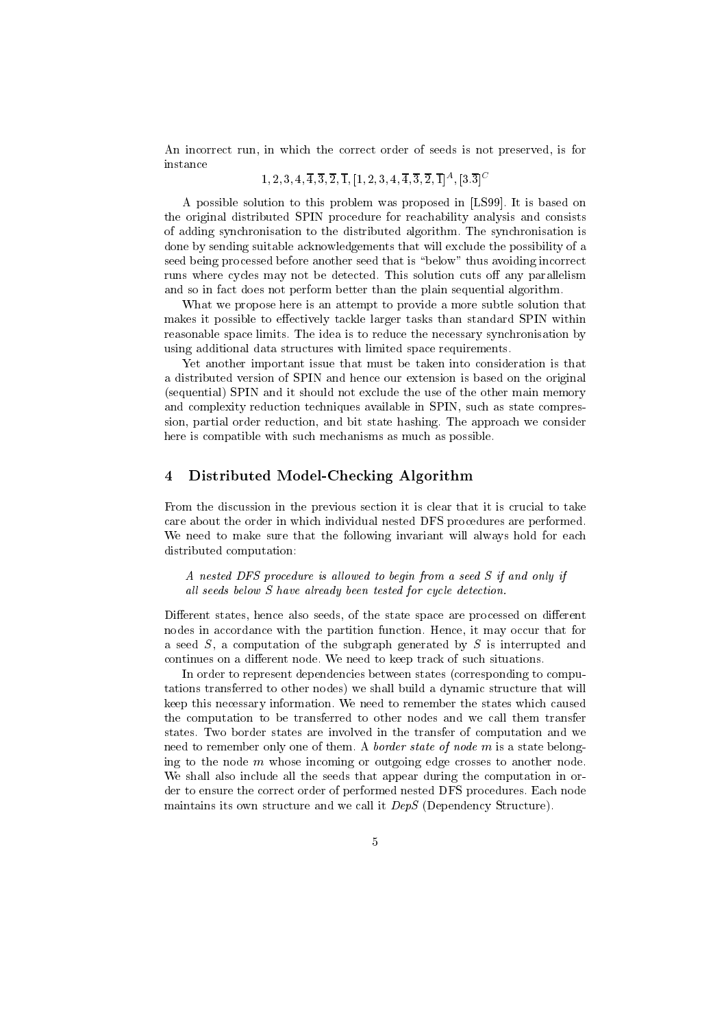An incorrect run, in which the correct order of seeds is not preserved, is for instance

 $1, 2, 3, 4, 4, 3, 2, 1, 11, 2, 3, 4, 4, 3, 2, 11, 13, 31$ 

A possible solution to this problem was proposed in [LS99]. It is based on the original distributed SPIN procedure for reachability analysis and consists of adding synchronisation to the distributed algorithm. The synchronisation is done by sending suitable acknowledgements that will exclude the possibility of a seed being processed before another seed that is "below" thus avoiding incorrect runs where cycles may not be detected. This solution cuts off any parallelism and so in fact does not perform better than the plain sequential algorithm.

What we propose here is an attempt to provide a more subtle solution that makes it possible to effectively tackle larger tasks than standard SPIN within reasonable space limits. The idea is to reduce the necessary synchronisation by using additional data structures with limited space requirements.

Yet another important issue that must be taken into consideration is that a distributed version of SPIN and hence our extension is based on the original (sequential) SPIN and it should not exclude the use of the other main memory and complexity reduction techniques available in SPIN, such as state compression, partial order reduction, and bit state hashing. The approach we consider here is compatible with such mechanisms as much as possible.

# 4 Distributed Model-Checking Algorithm

From the discussion in the previous section it is clear that it is crucial to take care about the order in which individual nested DFS procedures are performed. We need to make sure that the following invariant will always hold for each distributed computation:

A nested DFS procedure is allowed to begin from a seed S if and only if all seeds below  $S$  have already been tested for cycle detection.

Different states, hence also seeds, of the state space are processed on different nodes in accordance with the partition function. Hence, it may occur that for a seed S, a computation of the subgraph generated by S is interrupted and continues on a different node. We need to keep track of such situations.

In order to represent dependencies between states (corresponding to computations transferred to other nodes) we shall build a dynamic structure that will keep this necessary information. We need to remember the states which caused the computation to be transferred to other nodes and we call them transfer states. Two border states are involved in the transfer of computation and we need to remember only one of them. A *border state of node m* is a state belonging to the node  $m$  whose incoming or outgoing edge crosses to another node. We shall also include all the seeds that appear during the computation in order to ensure the correct order of performed nested DFS procedures. Each node maintains its own structure and we call it *DepS* (Dependency Structure).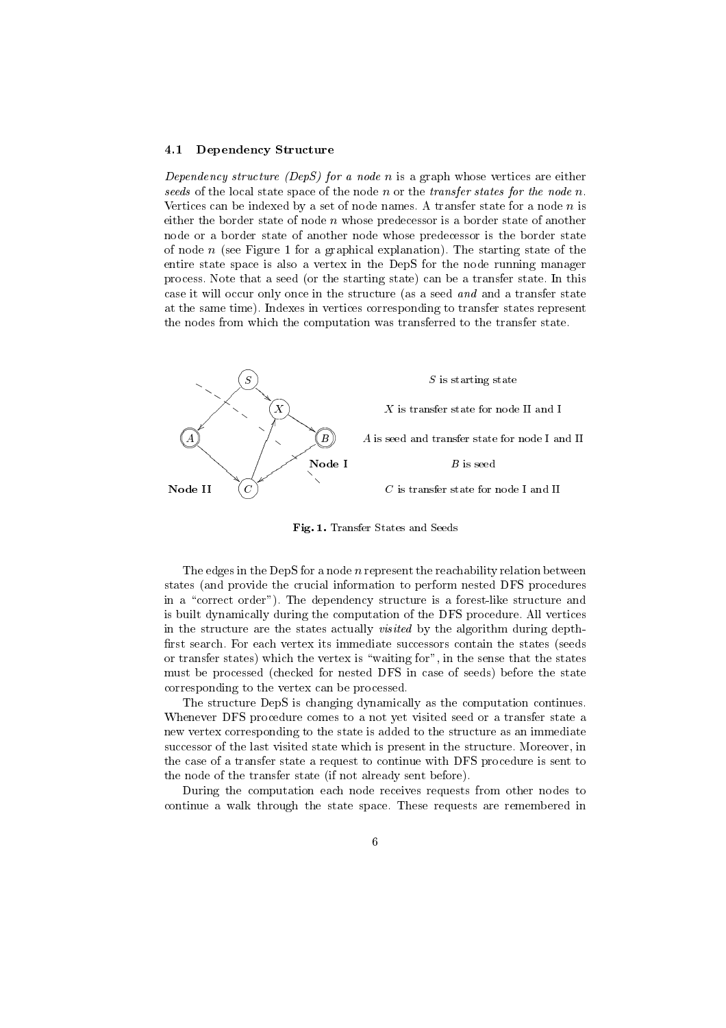#### 4.1 Dependency Structure

Dependency structure (DepS) for a node n is a graph whose vertices are either seeds of the local state space of the node n or the transfer states for the node n. Vertices can be indexed by a set of node names. A transfer state for a node  $n$  is either the border state of node  $n$  whose predecessor is a border state of another node or a border state of another node whose predecessor is the border state of node n (see Figure 1 for a graphical explanation). The starting state of the entire state space is also a vertex in the DepS for the node running manager process. Note that a seed (or the starting state) can be a transfer state. In this case it will occur only once in the structure (as a seed *and* and a transfer state at the same time). Indexes in vertices corresponding to transfer states represent the nodes from which the computation was transferred to the transfer state.



Fig. 1. Transfer States and Seeds

The edges in the DepS for a node  $n$  represent the reachability relation between states (and provide the crucial information to perform nested DFS procedures in a "correct order"). The dependency structure is a forest-like structure and is built dynamically during the computation of the DFS procedure. All vertices in the structure are the states actually visited by the algorithm during depth first search. For each vertex its immediate successors contain the states (seeds or transfer states) which the vertex is "waiting for", in the sense that the states must be processed (checked for nested DFS in case of seeds) before the state corresponding to the vertex can be processed.

The structure DepS is changing dynamically as the computation continues. Whenever DFS procedure comes to a not yet visited seed or a transfer state a new vertex corresponding to the state is added to the structure as an immediate successor of the last visited state which is present in the structure. Moreover, in the case of a transfer state a request to continue with DFS procedure is sent to the node of the transfer state (if not already sent before).

During the computation each node receives requests from other nodes to continue a walk through the state space. These requests are remembered in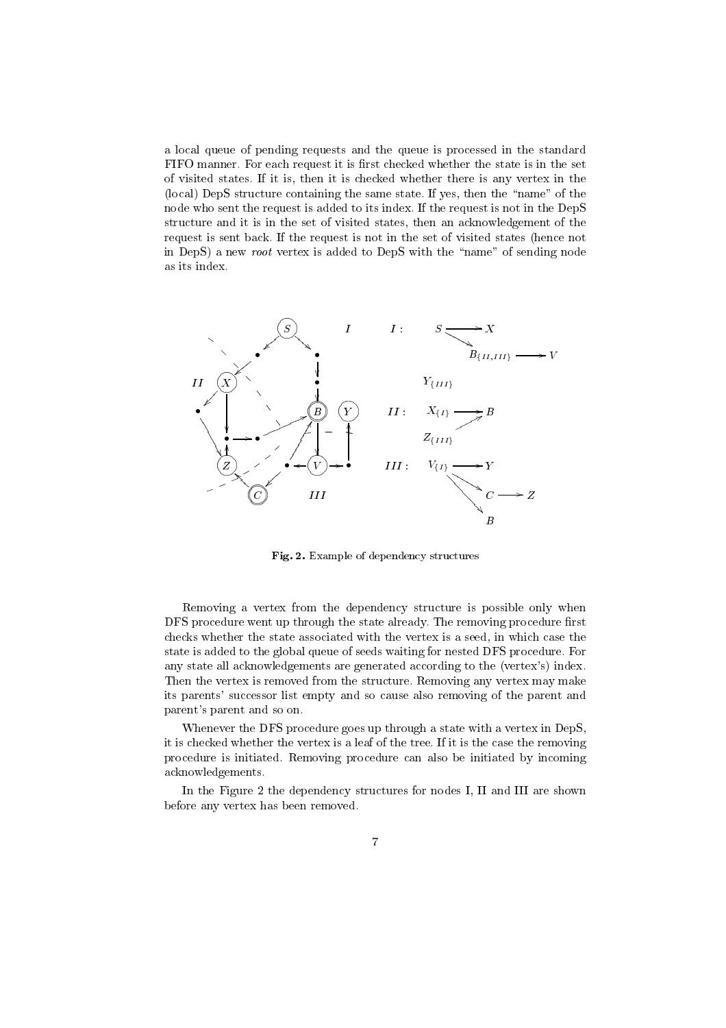a local queue of pending requests and the queue is processed in the standard FIFO manner. For each request it is first checked whether the state is in the set of visited states. If it is, then it is checked whether there is any vertex in the (local) DepS structure containing the same state. If yes, then the "name" of the node who sent the request is added to its index. If the request is not in the DepS structure and it is in the set of visited states, then an acknowledgement of the request is sent back. If the request is not in the set of visited states (hence not in DepS) a new root vertex is added to DepS with the "name" of sending node as its index.



Fig. 2. Example of dependency structures

Removing a vertex from the dependency structure is possible only when DFS procedure went up through the state already. The removing procedure first checks whether the state associated with the vertex is a seed, in which case the state is added to the global queue of seeds waiting for nested DFS procedure. For any state all acknowledgements are generated according to the (vertex's) index. Then the vertex is removed from the structure. Removing any vertex may make its parents' successor list empty and so cause also removing of the parent and parent's parent and so on.

Whenever the DFS procedure goes up through a state with a vertex in DepS, it is checked whether the vertex is a leaf of the tree. If it is the case the removing procedure is initiated. Removing procedure can also be initiated by incoming acknowledgements.

In the Figure 2 the dependency structures for nodes I, II and III are shown before any vertex has been removed.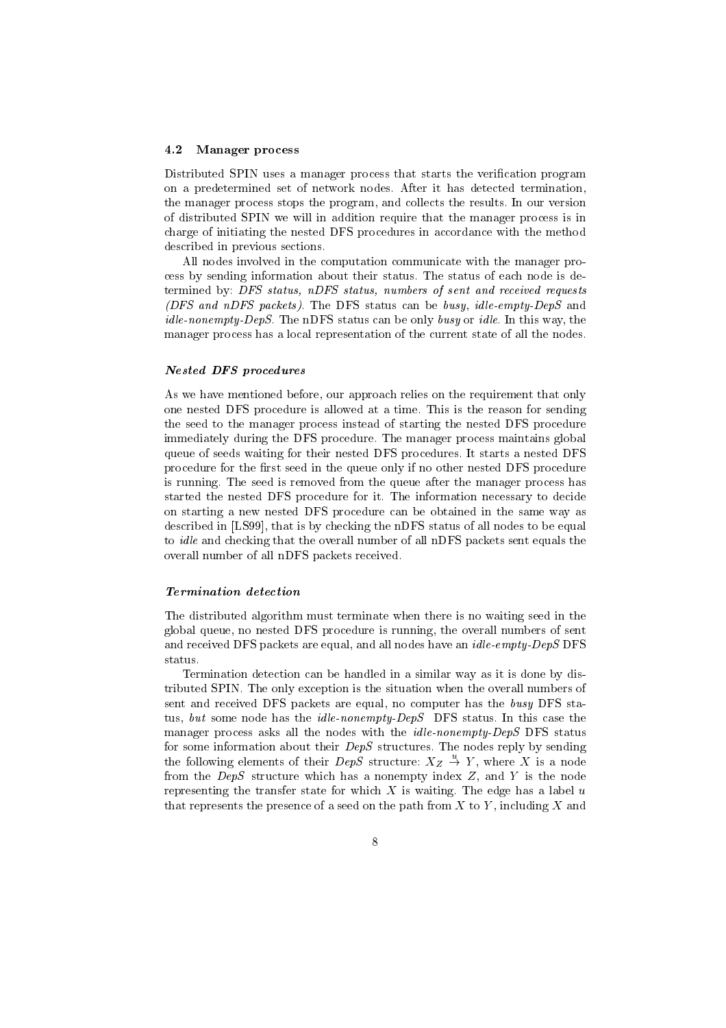#### 4.2 Manager process

Distributed SPIN uses a manager process that starts the verication program on a predetermined set of network nodes. After it has detected termination, the manager process stops the program, and collects the results. In our version of distributed SPIN we will in addition require that the manager process is in charge of initiating the nested DFS procedures in accordance with the method described in previous sections.

All nodes involved in the computation communicate with the manager process by sending information about their status. The status of each node is determined by: DFS status, nDFS status, numbers of sent and received requests (DFS and nDFS packets). The DFS status can be busy, idle-empty-DepS and *idle-nonempty-DepS*. The nDFS status can be only busy or *idle*. In this way, the manager process has a local representation of the current state of all the nodes.

# Nested DFS procedures

As we have mentioned before, our approach relies on the requirement that only one nested DFS procedure is allowed at a time. This is the reason for sending the seed to the manager process instead of starting the nested DFS procedure immediately during the DFS procedure. The manager process maintains global queue of seeds waiting for their nested DFS procedures. It starts a nested DFS procedure for the first seed in the queue only if no other nested DFS procedure is running. The seed is removed from the queue after the manager process has started the nested DFS procedure for it. The information necessary to decide on starting a new nested DFS procedure can be obtained in the same way as described in [LS99], that is by checking the nDFS status of all nodes to be equal to *idle* and checking that the overall number of all nDFS packets sent equals the overall number of all nDFS packets received.

#### Termination detection

The distributed algorithm must terminate when there is no waiting seed in the global queue, no nested DFS procedure is running, the overall numbers of sent and received DFS packets are equal, and all nodes have an *idle-empty-DepS* DFS status.

Termination detection can be handled in a similar way as it is done by distributed SPIN. The only exception is the situation when the overall numbers of sent and received DFS packets are equal, no computer has the busy DFS status, but some node has the *idle-nonempty-DepS* DFS status. In this case the manager process asks all the nodes with the *idle-nonempty-DepS* DFS status for some information about their  $DepS$  structures. The nodes reply by sending the following elements of their *DepS* structure:  $X_Z \rightarrow Y$ , where X is a node from the DepS structure which has a nonempty index  $Z$ , and  $Y$  is the node representing the transfer state for which  $X$  is waiting. The edge has a label  $u$ that represents the presence of a seed on the path from  $X$  to  $Y$ , including  $X$  and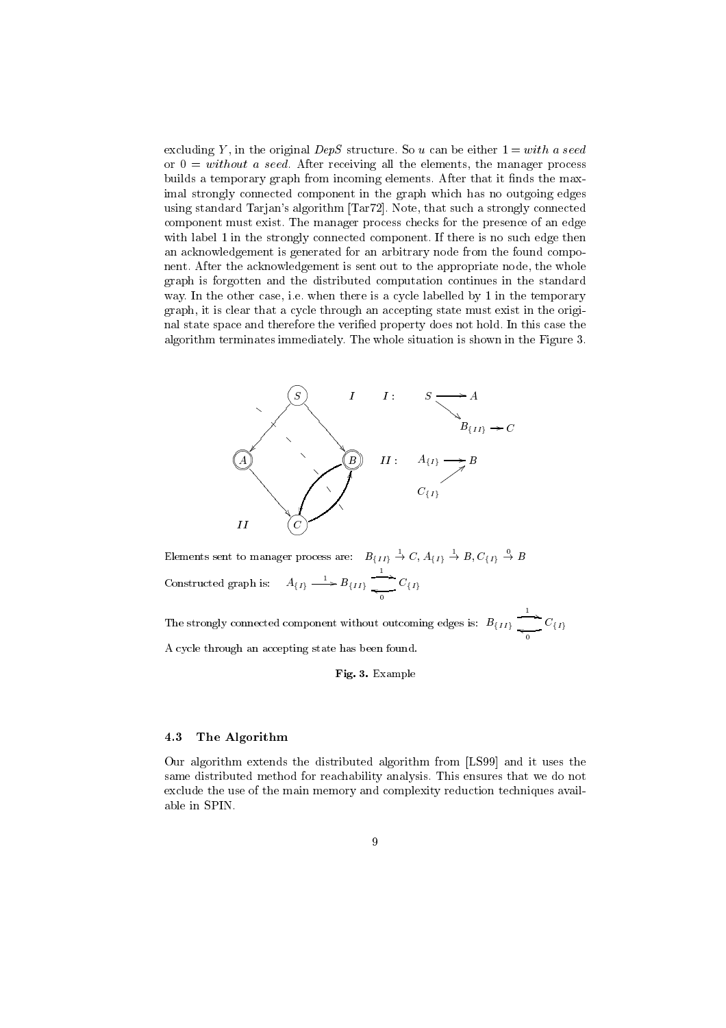excluding Y, in the original  $DepS$  structure. So u can be either  $1 = with \ a \ seed$ or  $0 = without a seed.$  After receiving all the elements, the manager process builds a temporary graph from incoming elements. After that it finds the maximal strongly connected component in the graph which has no outgoing edges using standard Tarjan's algorithm [Tar72]. Note, that such a strongly connected component must exist. The manager process checks for the presence of an edge with label 1 in the strongly connected component. If there is no such edge then an acknowledgement is generated for an arbitrary node from the found component. After the acknowledgement is sent out to the appropriate node, the whole graph is forgotten and the distributed computation continues in the standard way. In the other case, i.e. when there is a cycle labelled by 1 in the temporary graph, it is clear that a cycle through an accepting state must exist in the original state space and therefore the veried property does not hold. In this case the algorithm terminates immediately. The whole situation is shown in the Figure 3.



Elements sent to manager process are:  $B_{\{II\}} \to C, A_{\{I\}} \to B, C_{\{I\}} \to B$ Constructed graph is:  $A_{\{I\}} \longrightarrow B_{\{II\}} \longrightarrow C_{\{I\}}$  $\sqrt{0}$ 

The strongly connected component without outcoming edges is:  $B_{\{II\}} \overbrace{\hspace{2cm}} C_{\{I\}}$  $\sqrt{0}$ A cycle through an accepting state has been found.

#### Fig. 3. Example

#### 4.3 The Algorithm

Our algorithm extends the distributed algorithm from [LS99] and it uses the same distributed method for reachability analysis. This ensures that we do not exclude the use of the main memory and complexity reduction techniques available in SPIN.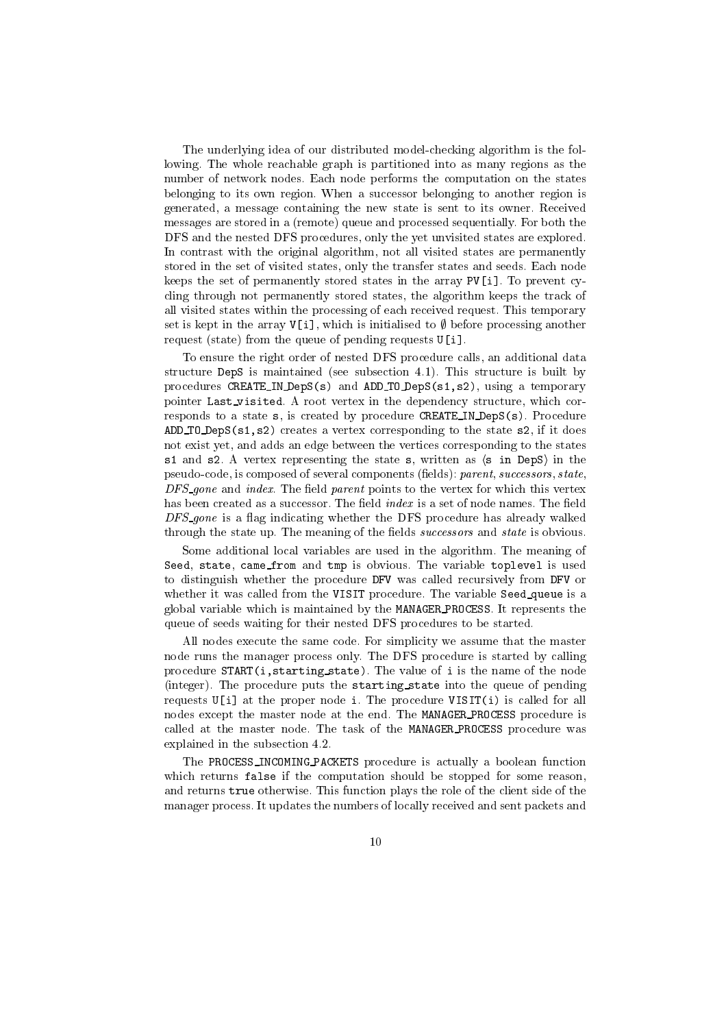The underlying idea of our distributed model-checking algorithm is the following. The whole reachable graph is partitioned into as many regions as the number of network nodes. Each node performs the computation on the states belonging to its own region. When a successor belonging to another region is generated, a message containing the new state is sent to its owner. Received messages are stored in a (remote) queue and processed sequentially. For both the DFS and the nested DFS procedures, only the yet unvisited states are explored. In contrast with the original algorithm, not all visited states are permanently stored in the set of visited states, only the transfer states and seeds. Each node keeps the set of permanently stored states in the array PV[i]. To prevent cycling through not permanently stored states, the algorithm keeps the track of all visited states within the processing of each received request. This temporary set is kept in the array  $V[i]$ , which is initialised to  $\emptyset$  before processing another request (state) from the queue of pending requests U[i].

To ensure the right order of nested DFS procedure calls, an additional data structure DepS is maintained (see subsection 4.1). This structure is built by procedures CREATE IN DepS(s) and ADD TO DepS( $s1$ ,  $s2$ ), using a temporary pointer Last visited. A root vertex in the dependency structure, which corresponds to a state s, is created by procedure CREATE\_IN\_DepS(s). Procedure ADD\_TO\_DepS( $s1$ , $s2$ ) creates a vertex corresponding to the state  $s2$ , if it does not exist yet, and adds an edge between the vertices corresponding to the states s1 and s2. A vertex representing the state s, written as  $\langle s \rangle$  in DepS) in the pseudo-code, is composed of several components (fields): parent, successors, state,  $DFS\text{-}gone$  and index. The field parent points to the vertex for which this vertex has been created as a successor. The field  $index$  is a set of node names. The field DFS\_gone is a flag indicating whether the DFS procedure has already walked through the state up. The meaning of the fields successors and state is obvious.

Some additional local variables are used in the algorithm. The meaning of Seed, state, came from and tmp is obvious. The variable toplevel is used to distinguish whether the procedure DFV was called recursively from DFV or whether it was called from the VISIT procedure. The variable Seed queue is a global variable which is maintained by the MANAGER PROCESS. It represents the queue of seeds waiting for their nested DFS procedures to be started.

All nodes execute the same code. For simplicity we assume that the master node runs the manager process only. The DFS procedure is started by calling procedure START(i, starting state). The value of i is the name of the node (integer). The procedure puts the starting state into the queue of pending requests U[i] at the proper node i. The procedure VISIT(i) is called for all nodes except the master node at the end. The MANAGER PROCESS procedure is called at the master node. The task of the MANAGER PROCESS procedure was explained in the subsection 4.2.

The PROCESS INCOMING PACKETS procedure is actually a boolean function which returns false if the computation should be stopped for some reason, and returns true otherwise. This function plays the role of the client side of the manager process. It updates the numbers of locally received and sent packets and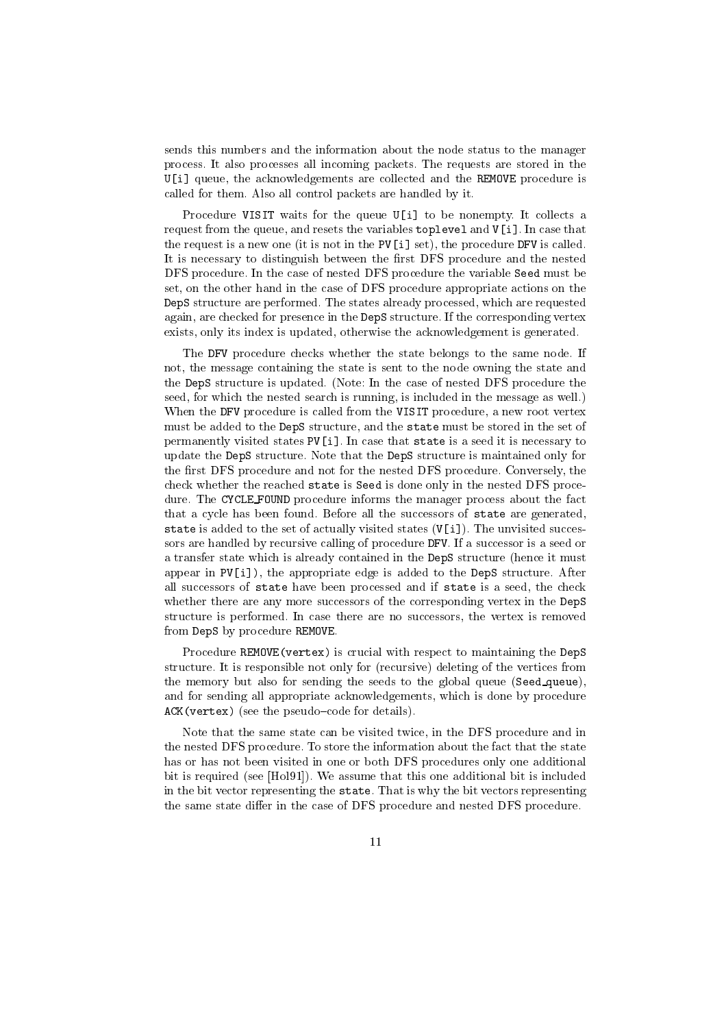sends this numbers and the information about the node status to the manager process. It also processes all incoming packets. The requests are stored in the U[i] queue, the acknowledgements are collected and the REMOVE procedure is called for them. Also all control packets are handled by it.

Procedure VISIT waits for the queue U[i] to be nonempty. It collects a request from the queue, and resets the variables toplevel and V[i]. In case that the request is a new one (it is not in the PV[i] set), the procedure DFV is called. It is necessary to distinguish between the first DFS procedure and the nested DFS procedure. In the case of nested DFS procedure the variable Seed must be set, on the other hand in the case of DFS procedure appropriate actions on the DepS structure are performed. The states already processed, which are requested again, are checked for presence in the DepS structure. If the corresponding vertex exists, only its index is updated, otherwise the acknowledgement is generated.

The DFV procedure checks whether the state belongs to the same node. If not, the message containing the state is sent to the node owning the state and the DepS structure is updated. (Note: In the case of nested DFS procedure the seed, for which the nested search is running, is included in the message as well.) When the DFV procedure is called from the VISIT procedure, a new root vertex must be added to the DepS structure, and the state must be stored in the set of permanently visited states PV[i]. In case that state is a seed it is necessary to update the DepS structure. Note that the DepS structure is maintained only for the first DFS procedure and not for the nested DFS procedure. Conversely, the check whether the reached state is Seed is done only in the nested DFS procedure. The CYCLE FOUND procedure informs the manager process about the fact that a cycle has been found. Before all the successors of state are generated, state is added to the set of actually visited states (V[i]). The unvisited successors are handled by recursive calling of procedure DFV. If a successor is a seed or a transfer state which is already contained in the DepS structure (hence it must appear in PV[i]), the appropriate edge is added to the DepS structure. After all successors of state have been processed and if state is a seed, the check whether there are any more successors of the corresponding vertex in the DepS structure is performed. In case there are no successors, the vertex is removed from DepS by procedure REMOVE.

Procedure REMOVE(vertex) is crucial with respect to maintaining the DepS structure. It is responsible not only for (recursive) deleting of the vertices from the memory but also for sending the seeds to the global queue (Seed queue), and for sending all appropriate acknowledgements, which is done by procedure  $ACK(vertex)$  (see the pseudo-code for details).

Note that the same state can be visited twice, in the DFS procedure and in the nested DFS procedure. To store the information about the fact that the state has or has not been visited in one or both DFS procedures only one additional bit is required (see [Hol91]). We assume that this one additional bit is included in the bit vector representing the state. That is why the bit vectors representing the same state differ in the case of DFS procedure and nested DFS procedure.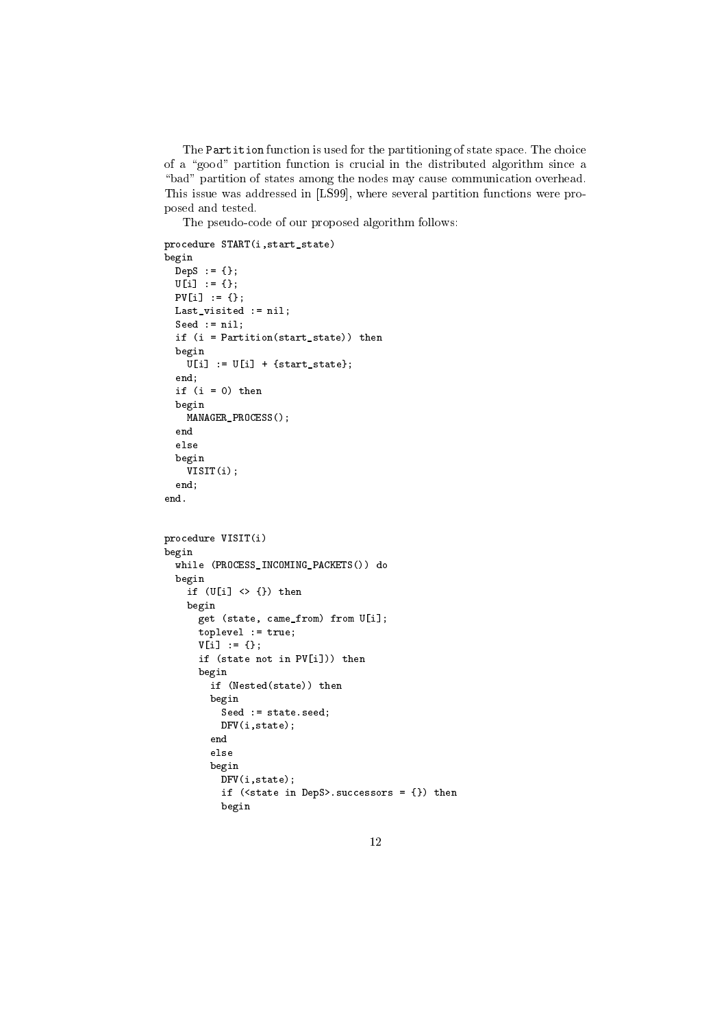The Partition function is used for the partitioning of state space. The choice of a "good" partition function is crucial in the distributed algorithm since a "bad" partition of states among the nodes may cause communication overhead. This issue was addressed in [LS99], where several partition functions were proposed and tested.

The pseudo-code of our proposed algorithm follows:

```
procedure START(i,start_state)
begin
  DepS := \{\};
  U[i] := \{\};
  PV[i] := \{\};
  Last_visited := nil;
  Seed := nil;
  if (i = Partition(start_state)) then
  begin
    U[i] := U[i] + \{start\_state\};end;
  if (i = 0) then
  begin
    MANAGER_PROCESS();
  end
  else
  begin
    VISIT(i);
  end;
end.
procedure VISIT(i)
begin
  while (PROCESS_INCOMING_PACKETS()) do
  begin
    if (U[i] \Leftrightarrow \{\}) then
    begin
      get (state, came_from) from U[i];
      toplevel := true;
      V[i] := \{\};
      if (state not in PV[i])) then
      begin
         if (Nested(state)) then
        begin
           Seed := state.seed;
           DFV(i,state);
        end
        else
        begin
           DFV(i,state);
           if (\text{state in DepS}\text{>}\text{.}successors = \{\}) then
           begin
```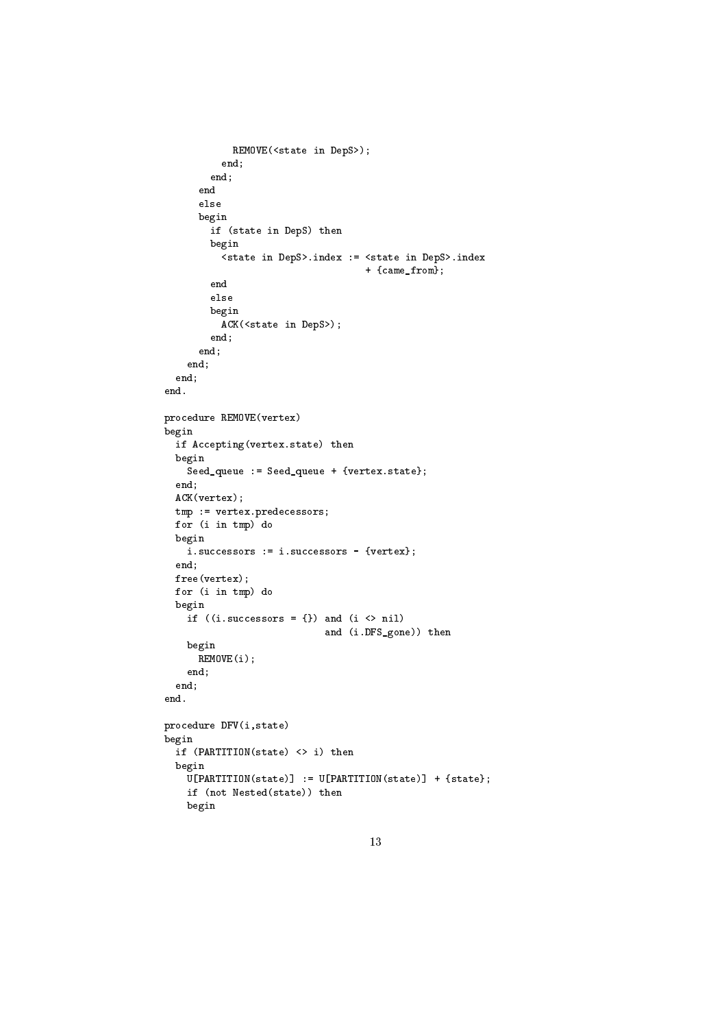```
REMOVE(<state in DepS>);
          end;
        end;
      end
      else
     begin
        if (state in DepS) then
        begin
          <state in DepS>.index := <state in DepS>.index
                                   + {came_from};
        end
        else
        begin
         ACK(<state in DepS>);
        end;
     end;
    end;
 end;
end.
procedure REMOVE(vertex)
begin
 if Accepting(vertex.state) then
 begin
    Seed_queue := Seed_queue + {vertex.state};
 end;
 ACK(vertex);
 tmp := vertex.predecessors;
 for (i in tmp) do
 begin
   i.successors := i.successors - {vertex};
 end;
 free(vertex);
 for (i in tmp) do
 begin
   if ((i.successors = {}) and (i \langle nil)
                            and (i.DFS_gone)) then
   begin
     REMOVE(i);
    end;
 end;
end.
procedure DFV(i,state)
begin
 if (PARTITION(state) <> i) then
 begin
   U[PARTITION(state)] := U[PARTITION(state)] + {state};
    if (not Nested(state)) then
    begin
```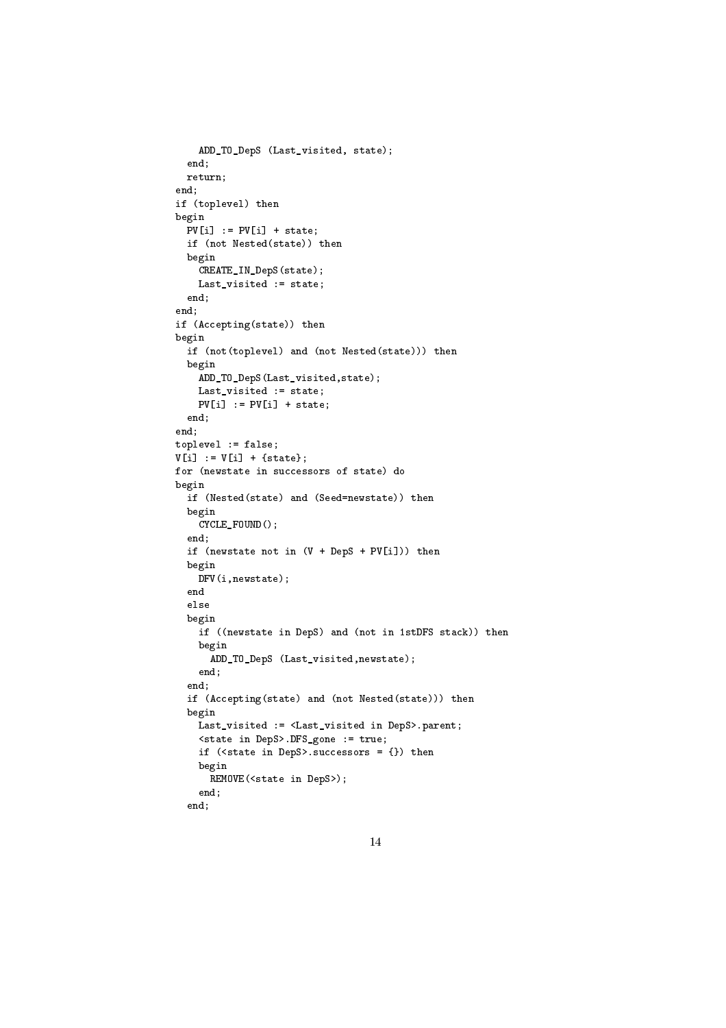```
ADD_TO_DepS (Last_visited, state);
  end;
  return;
end;
if (toplevel) then
begin
 PV[i] := PV[i] + state;if (not Nested(state)) then
 begin
   CREATE_IN_DepS(state);
   Last_visited := state;
  end;
end;
if (Accepting(state)) then
begin
  if (not(toplevel) and (not Nested(state))) then
 begin
   ADD_TO_DepS(Last_visited,state);
   Last_visited := state;
   PV[i] := PV[i] + state;end;
end;
toplevel := false;
V[i] := V[i] + {state};for (newstate in successors of state) do
begin
  if (Nested(state) and (Seed=newstate)) then
 begin
   CYCLE_FOUND();
  end;
 if (newstate not in (V + DepS + PV[i])) then
 begin
   DFV(i,newstate);
  end
  else
  begin
   if ((newstate in DepS) and (not in 1stDFS stack)) then
   begin
      ADD_TO_DepS (Last_visited,newstate);
   end;
  end;
  if (Accepting(state) and (not Nested(state))) then
  begin
   Last_visited := <Last_visited in DepS>.parent;
    <state in DepS>.DFS_gone := true;
    if (\text{state in DepS}\text{>}\text{.}successors = \{\}) then
   begin
      REMOVE(<state in DepS>);
   end;
  end;
```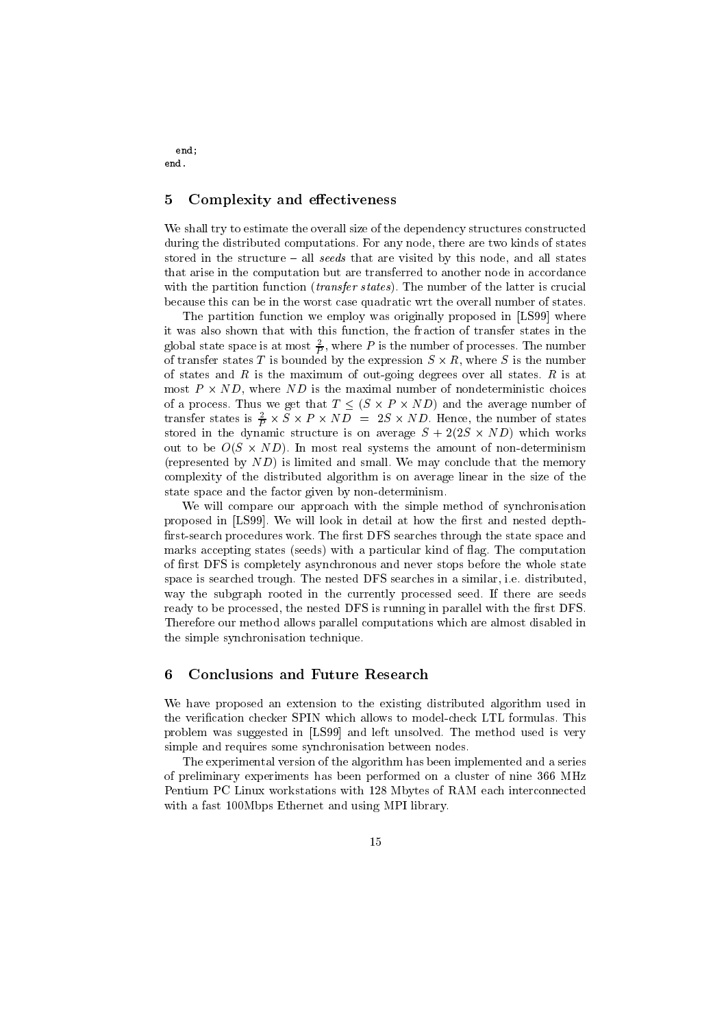end; end.

# 5 Complexity and effectiveness

We shall try to estimate the overall size of the dependency structures constructed during the distributed computations. For any node, there are two kinds of states stored in the structure  $-$  all seeds that are visited by this node, and all states that arise in the computation but are transferred to another node in accordance with the partition function *(transfer states)*. The number of the latter is crucial because this can be in the worst case quadratic wrt the overall number of states.

The partition function we employ was originally proposed in [LS99] where it was also shown that with this function, the fraction of transfer states in the global state space is at most  $\overline{P},$  where  $P$  is the number of processes. The number of transfer states T is bounded by the expression S - R, where S - T is the second states of of states and  $R$  is the maximum of out-going degrees over all states.  $R$  is at most P - ND, where  $N$  - ND is the maximal number of nondeterministic choices of nondeterministic choices  $\mathcal{A}$ of a process. Thus we get that T  $\mathcal{N}$  -section  $\mathcal{N}$  and the average number of  $\mathcal{N}$ transfer states is  $\frac{1}{P} \times S \times P \times N D = 2S \times N D$ . Hence, the number of states stored in the dynamic structure is on average S + 2(2S - ND) which works out to be O(S - ). In most real state and a problems the amount of non-determinisment of  $\sim$ (represented by  $ND$ ) is limited and small. We may conclude that the memory complexity of the distributed algorithm is on average linear in the size of the state space and the factor given by non-determinism.

We will compare our approach with the simple method of synchronisation proposed in [LS99]. We will look in detail at how the first and nested depthfirst-search procedures work. The first DFS searches through the state space and marks accepting states (seeds) with a particular kind of flag. The computation of first DFS is completely asynchronous and never stops before the whole state space is searched trough. The nested DFS searches in a similar, i.e. distributed, way the subgraph rooted in the currently processed seed. If there are seeds ready to be processed, the nested DFS is running in parallel with the first DFS. Therefore our method allows parallel computations which are almost disabled in the simple synchronisation technique.

# 6 Conclusions and Future Research

We have proposed an extension to the existing distributed algorithm used in the verification checker SPIN which allows to model-check LTL formulas. This problem was suggested in [LS99] and left unsolved. The method used is very simple and requires some synchronisation between nodes.

The experimental version of the algorithm has been implemented and a series of preliminary experiments has been performed on a cluster of nine 366 MHz Pentium PC Linux workstations with 128 Mbytes of RAM each interconnected with a fast 100Mbps Ethernet and using MPI library.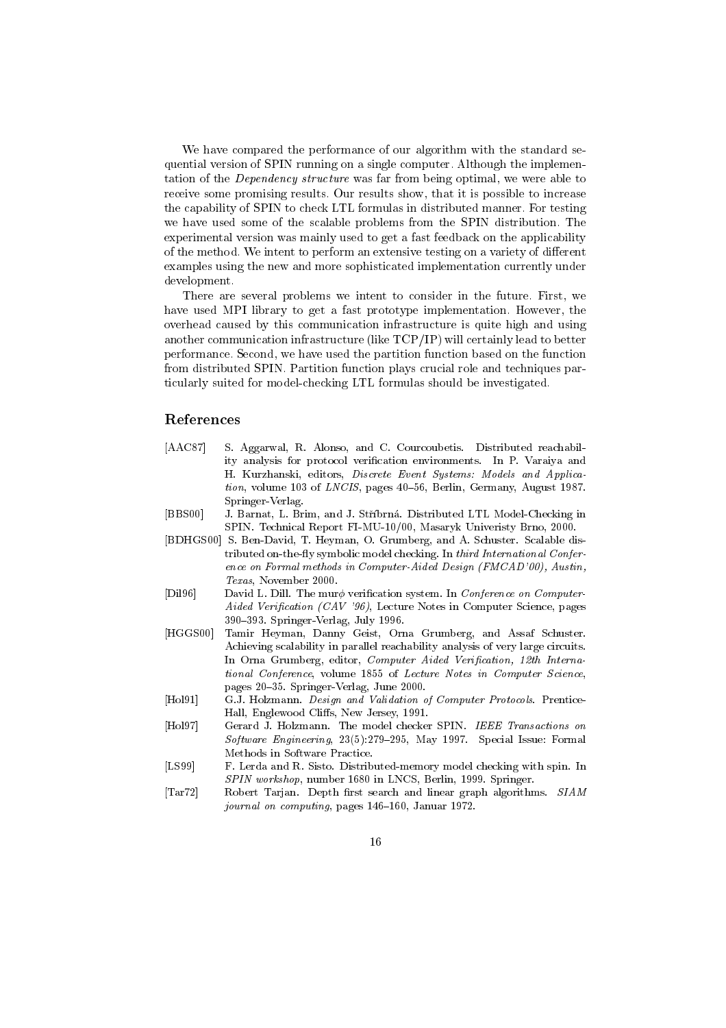We have compared the performance of our algorithm with the standard sequential version of SPIN running on a single computer. Although the implementation of the *Dependency structure* was far from being optimal, we were able to receive some promising results. Our results show, that it is possible to increase the capability of SPIN to check LTL formulas in distributed manner. For testing we have used some of the scalable problems from the SPIN distribution. The experimental version was mainly used to get a fast feedback on the applicability of the method. We intent to perform an extensive testing on a variety of different examples using the new and more sophisticated implementation currently under development.

There are several problems we intent to consider in the future. First, we have used MPI library to get a fast prototype implementation. However, the overhead caused by this communication infrastructure is quite high and using another communication infrastructure (like TCP/IP) will certainly lead to better performance. Second, we have used the partition function based on the function from distributed SPIN. Partition function plays crucial role and techniques particularly suited for model-checking LTL formulas should be investigated.

#### References

- [AAC87] S. Aggarwal, R. Alonso, and C. Courcoubetis. Distributed reachability analysis for protocol verification environments. In P. Varaiya and H. Kurzhanski, editors, Discrete Event Systems: Models and Application, volume 103 of  $LNCIS$ , pages 40-56, Berlin, Germany, August 1987. Springer-Verlag.
- [BBS00] J. Barnat, L. Brim, and J. Stříbrná. Distributed LTL Model-Checking in SPIN. Technical Report FI-MU-10/00, Masaryk Univeristy Brno, 2000.
- [BDHGS00] S. Ben-David, T. Heyman, O. Grumberg, and A. Schuster. Scalable distributed on-the-fly symbolic model checking. In third International Conference on Formal methods in Computer-Aided Design (FMCAD'00), Austin, Texas, November 2000.
- [Dil96] David L. Dill. The mur $\phi$  verification system. In *Conference on Computer*-Aided Verification (CAV '96), Lecture Notes in Computer Science, pages 390-393. Springer-Verlag, July 1996.
- [HGGS00] Tamir Heyman, Danny Geist, Orna Grumberg, and Assaf Schuster. Achieving scalability in parallel reachability analysis of very large circuits. In Orna Grumberg, editor, Computer Aided Verification, 12th International Conference, volume 1855 of Lecture Notes in Computer Science, pages 20-35. Springer-Verlag, June 2000.
- [Hol91] G.J. Holzmann. Design and Validation of Computer Protocols. Prentice-Hall, Englewood Cliffs, New Jersey, 1991.
- [Hol97] Gerard J. Holzmann. The model checker SPIN. IEEE Transactions on Software Engineering,  $23(5):279-295$ , May 1997. Special Issue: Formal Methods in Software Practice.
- [LS99] F. Lerda and R. Sisto. Distributed-memory model checking with spin. In SPIN workshop, number 1680 in LNCS, Berlin, 1999. Springer.
- [Tar72] Robert Tarjan. Depth first search and linear graph algorithms. SIAM  $journal on computing, pages 146–160, Januar 1972.$